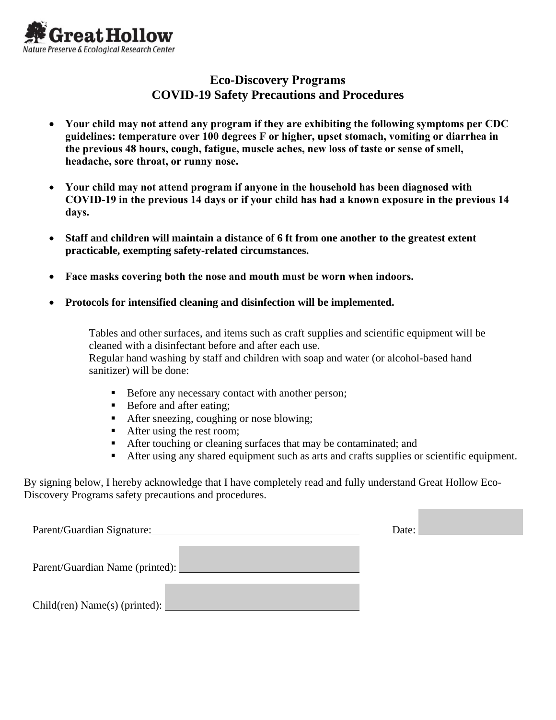

## **Eco-Discovery Programs COVID-19 Safety Precautions and Procedures**

- **Your child may not attend any program if they are exhibiting the following symptoms per CDC guidelines: temperature over 100 degrees F or higher, upset stomach, vomiting or diarrhea in the previous 48 hours, cough, fatigue, muscle aches, new loss of taste or sense of smell, headache, sore throat, or runny nose.**
- **Your child may not attend program if anyone in the household has been diagnosed with COVID-19 in the previous 14 days or if your child has had a known exposure in the previous 14 days.**
- **Staff and children will maintain a distance of 6 ft from one another to the greatest extent practicable, exempting safety-related circumstances.**
- **Face masks covering both the nose and mouth must be worn when indoors.**
- **Protocols for intensified cleaning and disinfection will be implemented.**

Tables and other surfaces, and items such as craft supplies and scientific equipment will be cleaned with a disinfectant before and after each use. Regular hand washing by staff and children with soap and water (or alcohol-based hand sanitizer) will be done:

- Before any necessary contact with another person;
- Before and after eating;
- After sneezing, coughing or nose blowing;
- After using the rest room;
- After touching or cleaning surfaces that may be contaminated; and
- After using any shared equipment such as arts and crafts supplies or scientific equipment.

By signing below, I hereby acknowledge that I have completely read and fully understand Great Hollow Eco-Discovery Programs safety precautions and procedures.

| Parent/Guardian Signature:      | Date: |
|---------------------------------|-------|
| Parent/Guardian Name (printed): |       |
| Child(ren) Name(s) (printed):   |       |